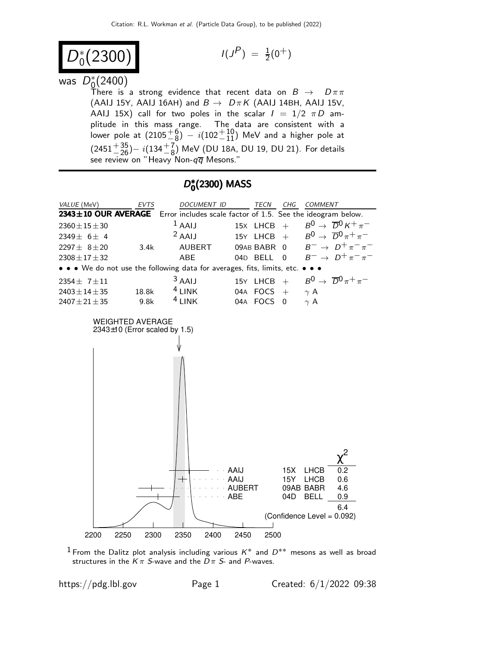$$
D_0^*(2300) \qquad \qquad \text{if } \quad
$$

$$
I(J^P) = \frac{1}{2}(0^+)
$$

# was  $D_0^*$  $^*_{\underline{0}}(2400)$

There is a strong evidence that recent data on  $B$   $\;\rightarrow$   $\;\;D\pi\pi$ (AAIJ 15Y, AAIJ 16AH) and  $B \to D \pi K$  (AAIJ 14BH, AAIJ 15V, AAIJ 15X) call for two poles in the scalar  $I = 1/2 \pi D$  amplitude in this mass range. The data are consistent with a lower pole at  $(2105\frac{+6}{-8})$   $i(102\frac{+10}{-11})$  MeV and a higher pole at  $(2451^{+35}_{-26}) - i(134^{+7}_{-8})$  MeV (DU 18A, DU 19, DU 21). For details see review on "Heavy Non- $q\overline{q}$  Mesons."

## D\*  $_{0}^{\ast}(2300)$  MASS



<sup>1</sup> From the Dalitz plot analysis including various  $K^*$  and  $D^{**}$  mesons as well as broad structures in the  $K \pi$  S-wave and the  $D \pi$  S- and P-waves.

https://pdg.lbl.gov Page 1 Created:  $6/1/2022$  09:38